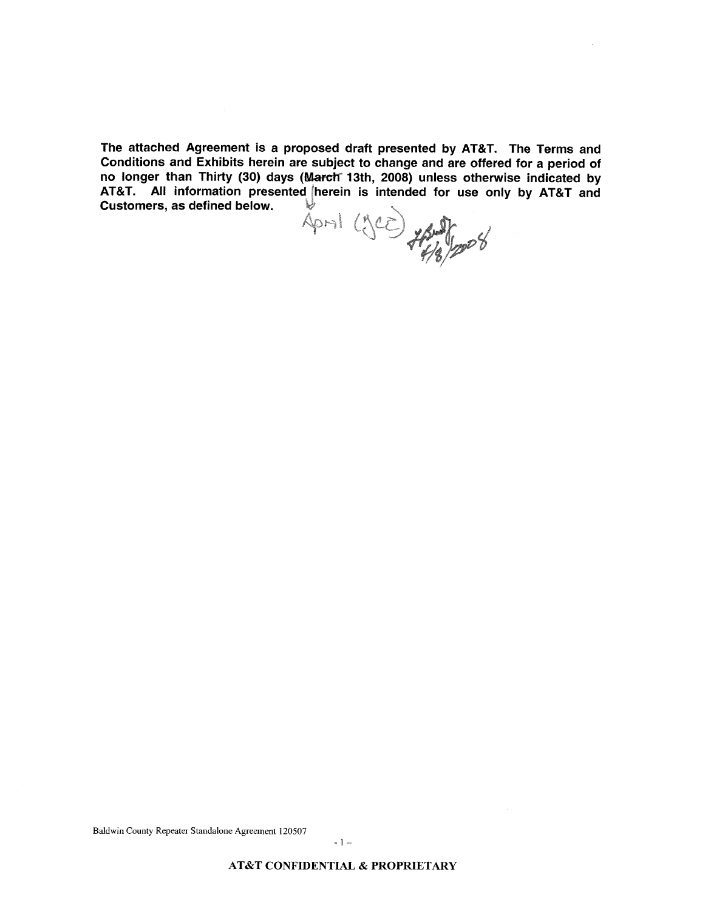The attached Agreement is a proposed draft presented by AT&T. The Terms and Conditions and Exhibits herein are subject to change and are offered for a period of no longer than Thirty (30) days (March 13th, 2008) unless otherwise indicated by AT&T. All information presented herein is intended for use only by AT&T and Customers, as defined below. Customers, as defined below.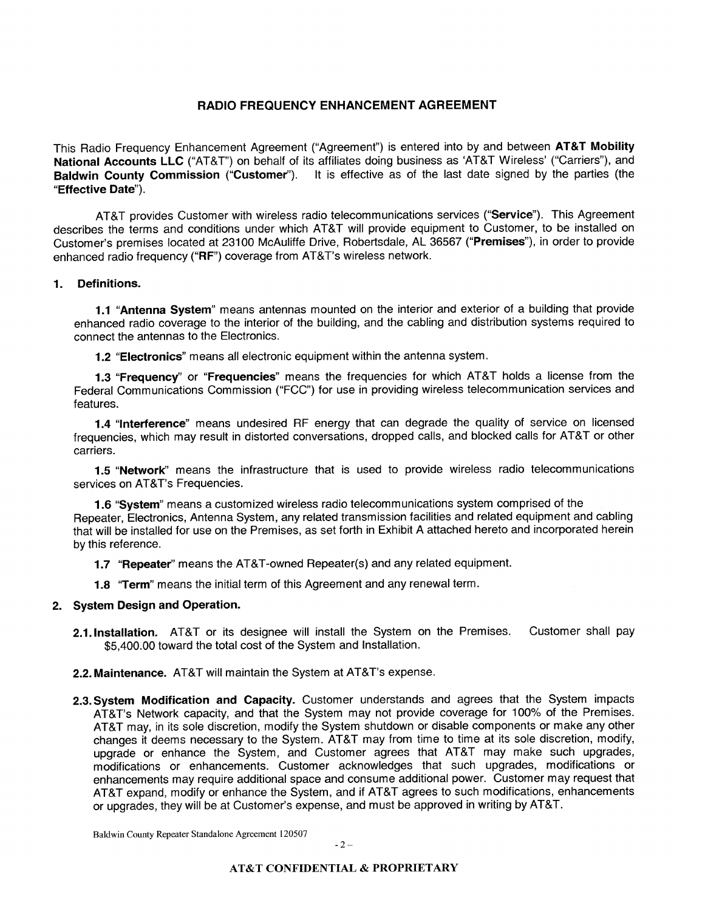# **RADIO FREQUENCY ENHANCEMENT AGREEMENT**

This Radio Frequency Enhancement Agreement ("Agreement") is entered into by and between **AT&T Mobility National Accounts LLC** ("AT&T") on behalf of its affiliates doing business as 'AT&T Wireless' ("Carriers"), and **Baldwin County Commission ("Customer").** It is effective as of the last date signed by the parties (the **"Effective Date").** 

AT&T provides Customer with wireless radio telecommunications services **("Service").** This Agreement describes the terms and conditions under which AT&T will provide equipment to Customer, to be installed on Customer's premises located at 23100 McAuliffe Drive, Robertsdale, AL 36567 **("Premises"),** in order to provide enhanced radio frequency ("RF") coverage from AT&T's wireless network.

#### **1. Definitions.**

**1.1 "Antenna System"** means antennas mounted on the interior and exterior of a building that provide enhanced radio coverage to the interior of the building, and the cabling and distribution systems required to connect the antennas to the Electronics.

**1.2 "Electronics"** means all electronic equipment within the antenna system.

**1.3 "Frequency"** or **"Frequencies"** means the frequencies for which AT&T holds a license from the Federal Communications Commission ("FCC") for use in providing wireless telecommunication services and features.

**1.4 "Interference"** means undesired RF energy that can degrade the quality of service on licensed frequencies, which may result in distorted conversations, dropped calls, and blocked calls for AT&T or other carriers.

**1.5 "NetworK'** means the infrastructure that is used to provide wireless radio telecommunications services on AT&T's Frequencies.

**1.6 "System"** means a customized wireless radio telecommunications system comprised of the Repeater, Electronics, Antenna System, any related transmission facilities and related equipment and cabling that will be installed for use on the Premises, as set forth in Exhibit A attached hereto and incorporated herein by this reference.

**1.7 "Repeater"** means the AT&T-owned Repeater(s) and any related equipment.

**1.8 "Term"** means the initial term of this Agreement and any renewal term.

#### **2. System Design and Operation.**

**2.l.lnstallation.** AT&T or its designee will install the System on the Premises. Customer shall pay \$5,400.00 toward the total cost of the System and Installation.

**2.2. Maintenance.** AT&T will maintain the System at AT&T's expense.

**2.3.System Modification and Capacity.** Customer understands and agrees that the System impacts AT&T's Network capacity, and that the System may not provide coverage for 100% of the Premises. AT&T may, in its sole discretion, modify the System shutdown or disable components or make any other changes it deems necessary to the System. AT&T may from time to time at its sole discretion, modify, upgrade or enhance the System, and Customer agrees that AT&T may make such upgrades, modifications or enhancements. Customer acknowledges that such upgrades, modifications or enhancements may require additional space and consume additional power. Customer may request that AT&T expand, modify or enhance the System, and if AT&T agrees to such modifications, enhancements or upgrades, they will be at Customer's expense, and must be approved in writing by AT&T.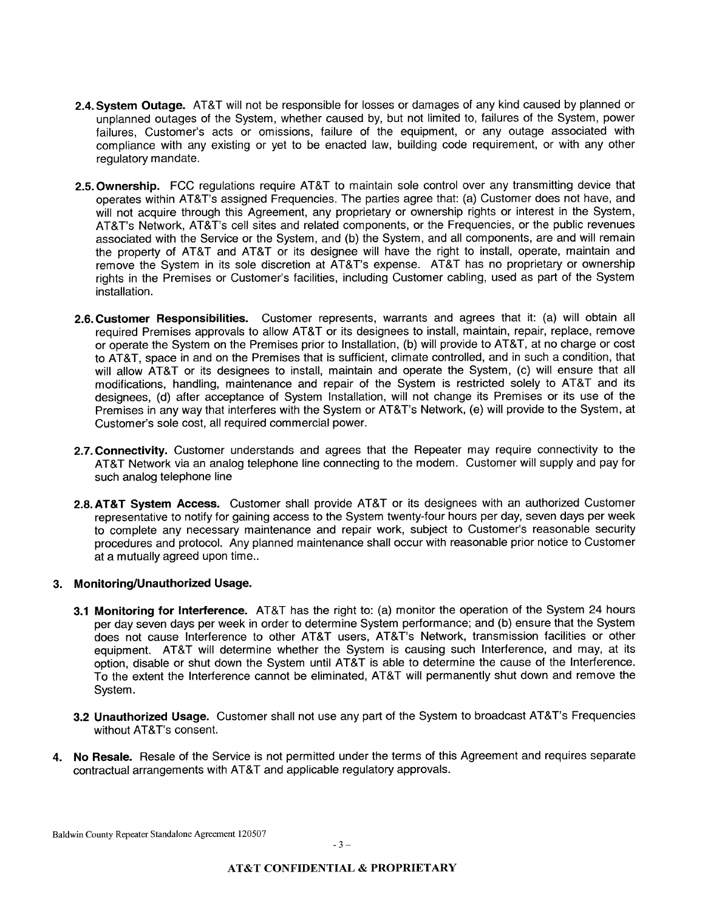- **2.4.System Outage.** AT&T will not be responsible for losses or damages of any kind caused by planned or unplanned outages of the System, whether caused by, but not limited to, failures of the System, power failures, Customer's acts or omissions, failure of the equipment, or any outage associated with compliance with any existing or yet to be enacted law, building code requirement, or with any other regulatory mandate.
- **2.5. Ownership.** FCC regulations require AT&T to maintain sole control over any transmitting device that operates within AT&T's assigned Frequencies. The parties agree that: (a) Customer does not have, and will not acquire through this Agreement, any proprietary or ownership rights or interest in the System, AT&T's Network, AT&T's cell sites and related components, or the Frequencies, or the public revenues associated with the Service or the System, and (b) the System, and all components, are and will remain the property of AT&T and AT&T or its designee will have the right to install, operate, maintain and remove the System in its sole discretion at AT&T's expense. AT&T has no proprietary or ownership rights in the Premises or Customer's facilities, including Customer cabling, used as part of the System installation.
- **2.6.Customer Responsibilities.** Customer represents, warrants and agrees that it: (a) will obtain all required Premises approvals to allow AT&T or its designees to install, maintain, repair, replace, remove or operate the System on the Premises prior to Installation, (b) will provide to AT&T, at no charge or cost to AT&T, space in and on the Premises that is sufficient, climate controlled, and in such a condition, that will allow AT&T or its designees to install, maintain and operate the System, (c) will ensure that all modifications, handling, maintenance and repair of the System is restricted solely to AT&T and its designees, (d) after acceptance of System Installation, will not change its Premises or its use of the Premises in any way that interferes with the System or AT&T's Network, (e) will provide to the System, at Customer's sole cost, all required commercial power.
- **2.7.Connectivity.** Customer understands and agrees that the Repeater may require connectivity to the AT&T Network via an analog telephone line connecting to the modem. Customer will supply and pay for such analog telephone line
- **2.8.AT&T System Access.** Customer shall provide AT&T or its designees with an authorized Customer representative to notify for gaining access to the System twenty-four hours per day, seven days per week to complete any necessary maintenance and repair work, subject to Customer's reasonable security procedures and protocol. Any planned maintenance shall occur with reasonable prior notice to Customer at a mutually agreed upon time..

#### **3. Monitoring/Unauthorized Usage.**

- **3.1 Monitoring for Interference.** AT&T has the right to: (a) monitor the operation of the System 24 hours per day seven days per week in order to determine System performance; and (b) ensure that the System does not cause lnterference to other AT&T users, AT&T's Network, transmission facilities or other equipment. AT&T will determine whether the System is causing such Interference, and may, at its option, disable or shut down the System until AT&T is able to determine the cause of the lnterference. To the extent the lnterference cannot be eliminated, AT&T will permanently shut down and remove the System.
- **3.2 Unauthorized Usage.** Customer shall not use any part of the System to broadcast AT&T's Frequencies without AT&T's consent.
- **4. No Resale.** Resale of the Service is not permitted under the terms of this Agreement and requires separate contractual arrangements with AT&T and applicable regulatory approvals.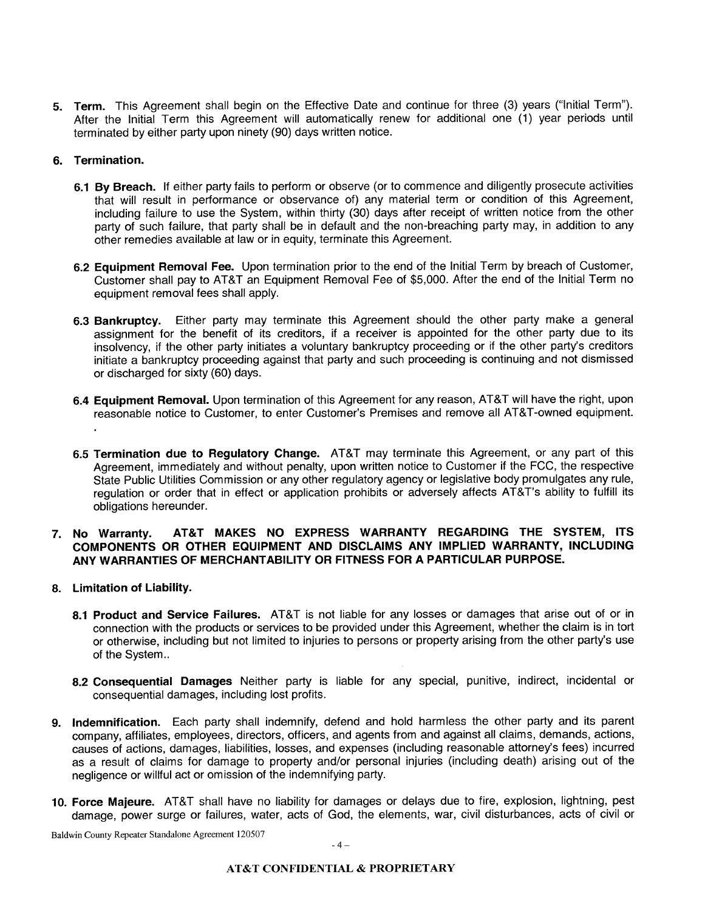**5. Term.** This Agreement shall begin on the Effective Date and continue for three (3) years ("lnitial Term"). After the lnitial Term this Agreement will automatically renew for additional one (1) year periods until terminated by either party upon ninety (90) days written notice.

#### **6. Termination.**

- **6.1 By Breach.** If either party fails to perform or observe (or to commence and diligently prosecute activities that will result in performance or observance of) any material term or condition of this Agreement, including failure to use the System, within thirty (30) days after receipt of written notice from the other party of such failure, that party shall be in default and the non-breaching party may, in addition to any other remedies available at law or in equity, terminate this Agreement.
- **6.2 Equipment Removal Fee.** Upon termination prior to the end of the Initial Term by breach of Customer, Customer shall pay to AT&T an Equipment Removal Fee of \$5,000. After the end of the lnitial Term no equipment removal fees shall apply.
- **6.3 Bankruptcy.** Either party may terminate this Agreement should the other party make a general assignment for the benefit of its creditors, if a receiver is appointed for the other party due to its insolvency, if the other party initiates a voluntary bankruptcy proceeding or if the other party's creditors initiate a bankruptcy proceeding against that party and such proceeding is continuing and not dismissed or discharged for sixty (60) days.
- **6.4 Equipment Removal.** Upon termination of this Agreement for any reason, AT&T will have the right, upon reasonable notice to Customer, to enter Customer's Premises and remove all AT&T-owned equipment.
- **6.5 Termination due to Regulatory Change.** AT&T may terminate this Agreement, or any part of this Agreement, immediately and without penalty, upon written notice to Customer if the FCC, the respective State Public Utilities Commission or any other regulatory agency or legislative body promulgates any rule, regulation or order that in effect or application prohibits or adversely affects AT&T's ability to fulfill its obligations hereunder.

### **7. No Warranty. AT&T MAKES NO EXPRESS WARRANTY REGARDING THE SYSTEM, ITS COMPONENTS OR OTHER EQUIPMENT AND DISCLAIMS ANY IMPLIED WARRANTY, INCLUDING ANY WARRANTIES OF MERCHANTABILITY OR FITNESS FOR A PARTICULAR PURPOSE.**

- **8. Limitation of Liability.** 
	- **8.1 Product and Service Failures.** AT&T is not liable for any losses or damages that arise out of or in connection with the products or services to be provided under this Agreement, whether the claim is in tort or otherwise, including but not limited to injuries to persons or property arising from the other party's use of the System..
	- **8.2 Consequential Damages** Neither party is liable for any special, punitive, indirect, incidental or consequential damages, including lost profits.
- **9. Indemnification.** Each party shall indemnify, defend and hold harmless the other party and its parent company, affiliates, employees, directors, officers, and agents from and against all claims, demands, actions, causes of actions, damages, liabilities, losses, and expenses (including reasonable attorney's fees) incurred as a result of claims for damage to property and/or personal injuries (including death) arising out of the negligence or willful act or omission of the indemnifying party.
- 10. **Force Majeure.** AT&T shall have no liability for damages or delays due to fire, explosion, lightning, pest damage, power surge or failures, water, acts of God, the elements, war, civil disturbances, acts of civil or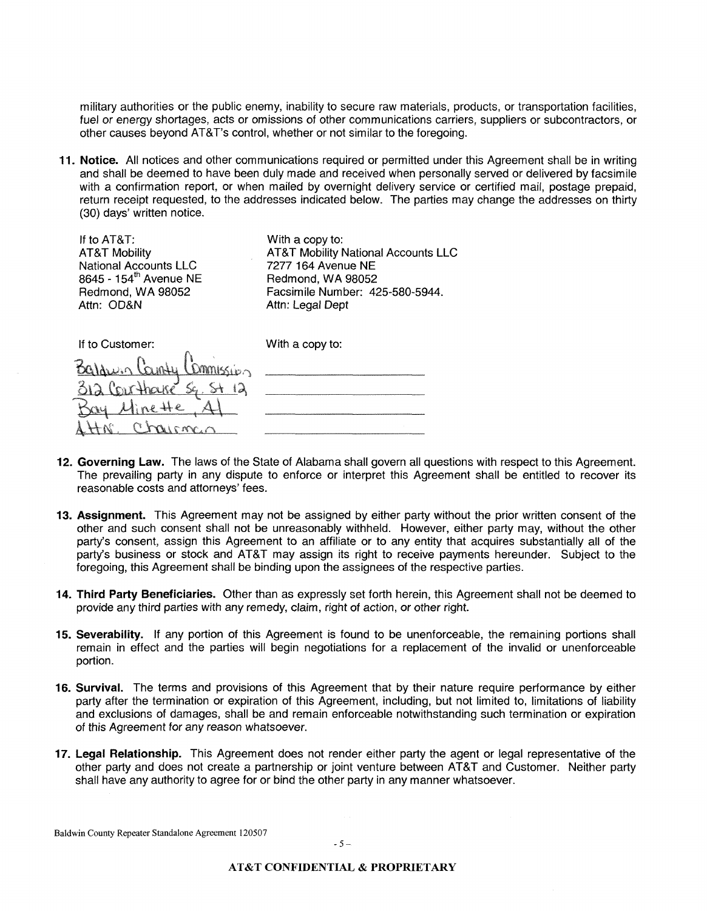military authorities or the public enemy, inability to secure raw materials, products, or transportation facilities, fuel or energy shortages, acts or omissions of other communications carriers, suppliers or subcontractors, or other causes beyond AT&T's control, whether or not similar to the foregoing.

**11. Notice.** All notices and other communications required or permitted under this Agreement shall be in writing and shall be deemed to have been duly made and received when personally served or delivered by facsimile with a confirmation report, or when mailed by overnight delivery service or certified mail, postage prepaid, return receipt requested, to the addresses indicated below. The parties may change the addresses on thirty (30) days' written notice.

| If to $AT8T$ :<br><b>AT&amp;T Mobility</b><br><b>National Accounts LLC</b><br>8645 - 154 <sup>th</sup> Avenue NE<br>Redmond, WA 98052<br>Attn: OD&N | With a copy to:<br><b>AT&amp;T Mobility National Accounts LLC</b><br>7277 164 Avenue NE<br>Redmond, WA 98052<br>Facsimile Number: 425-580-5944.<br>Attn: Legal Dept |
|-----------------------------------------------------------------------------------------------------------------------------------------------------|---------------------------------------------------------------------------------------------------------------------------------------------------------------------|
| If to Customer:                                                                                                                                     | With a copy to:                                                                                                                                                     |
|                                                                                                                                                     |                                                                                                                                                                     |

| 12. Governing Law. The laws of the State of Alabama shall govern all questions with respect to this Agreement. |
|----------------------------------------------------------------------------------------------------------------|
| The prevailing party in any dispute to enforce or interpret this Agreement shall be entitled to recover its    |
| reasonable costs and attorneys' fees.                                                                          |

- **13. Assignment.** This Agreement may not be assigned by either party without the prior written consent of the other and such consent shall not be unreasonably withheld. However, either party may, without the other party's consent, assign this Agreement to an affiliate or to any entity that acquires substantially all of the party's business or stock and AT&T may assign its right to receive payments hereunder. Subject to the foregoing, this Agreement shall be binding upon the assignees of the respective parties.
- **14. Third Party Beneficiaries.** Other than as expressly set forth herein, this Agreement shall not be deemed to provide any third parties with any remedy, claim, right of action, or other right.
- **15. Severability.** If any portion of this Agreement is found to be unenforceable, the remaining portions shall remain in effect and the parties will begin negotiations for a replacement of the invalid or unenforceable portion.
- **16. Survival.** The terms and provisions of this Agreement that by their nature require performance by either party after the termination or expiration of this Agreement, including, but not limited to, limitations of liability and exclusions of damages, shall be and remain enforceable notwithstanding such termination or expiration of this Agreement for any reason whatsoever.
- **17. Legal Relationship.** This Agreement does not render either party the agent or legal representative of the other party and does not create a partnership or joint venture between AT&T and Customer. Neither party shall have any authority to agree for or bind the other party in any manner whatsoever.

Baldwin County Repeater Standalone Agreement 120507

312 Courthave Sq. St 12

Bay Minette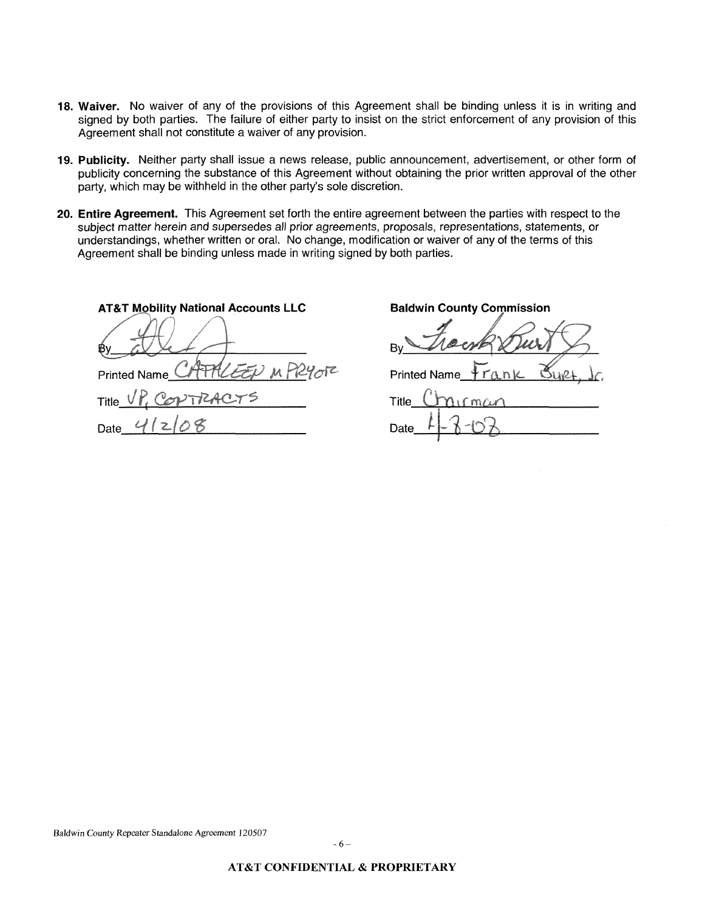- **18. Waiver.** No waiver of any of the provisions of this Agreement shall be binding unless it is in writing and signed by both parties. The failure of either party to insist on the strict enforcement of any provision of this Agreement shall not constitute a waiver of any provision.
- **19. Publicity.** Neither party shall issue a news release, public announcement, advertisement, or other form of publicity concerning the substance of this Agreement without obtaining the prior written approval of the other party, which may be withheld in the other party's sole discretion.
- **20. Entire Agreement.** This Agreement set forth the entire agreement between the parties with respect to the subject matter herein and supersedes all prior agreements, proposals, representations, statements, or understandings, whether written or oral. No change, modification or waiver of any of the terms of this Agreement shall be binding unless made in writing signed by both parties.

**AT&T Mobility National Accounts LLC Printed Name** Title Date

**Baldwin County Commission** 

**Printed Name** Title m

Date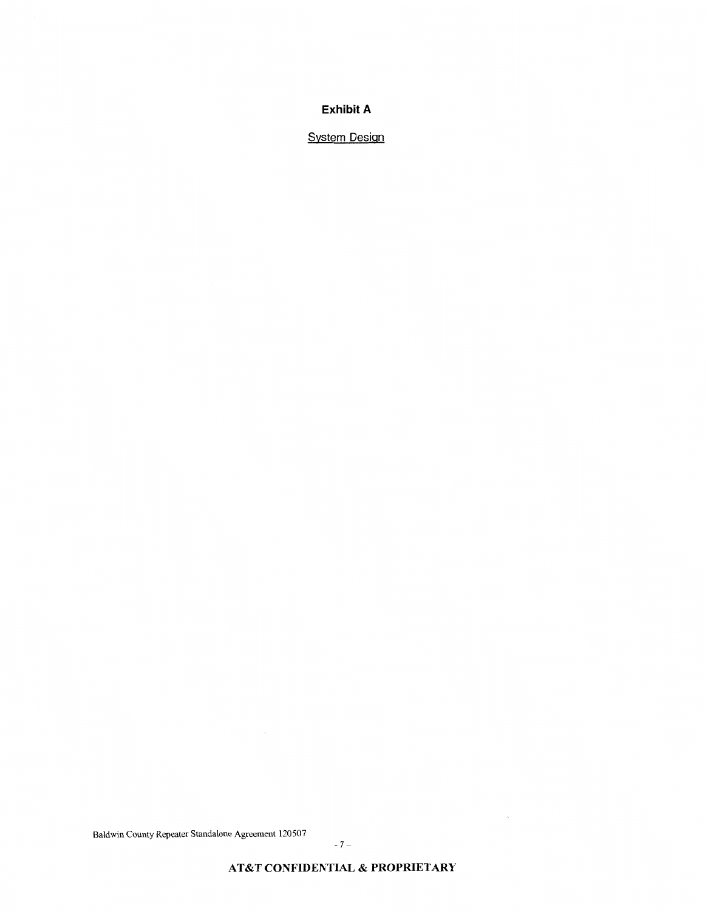# **Exhibit A**

**System Design** 

Baldwin County Repeater Standalone Agreement 120507

 $\sim$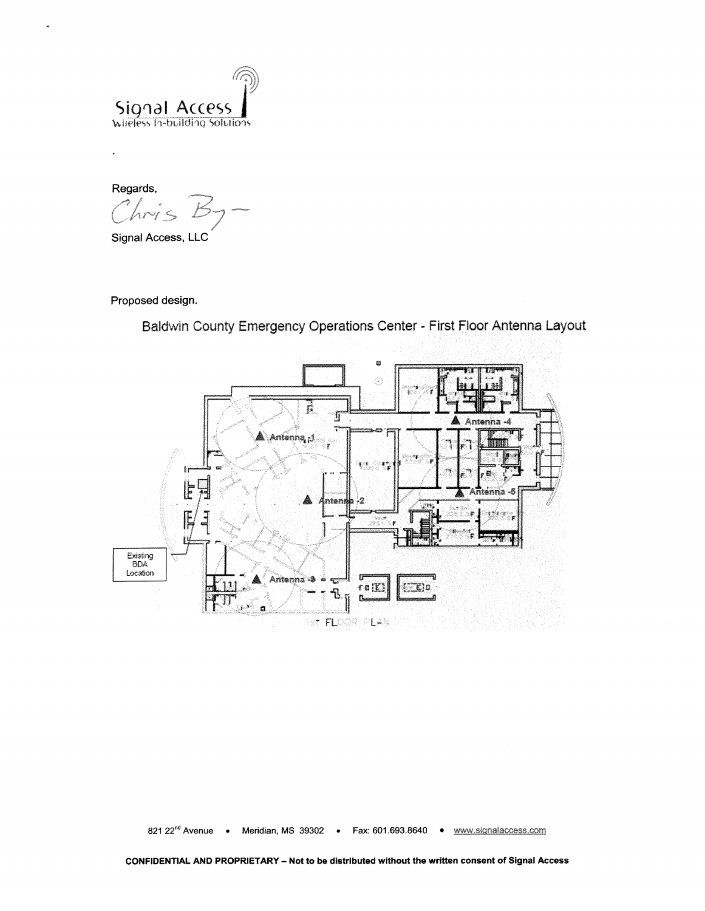

- **Regards,**   $hris$ 

**Signal Access,** LLG

 $\ddot{\phantom{a}}$ 

Proposed design.

Baldwin County Emergency Operations Center - First Floor Antenna Layout



**821 22"d Avenue 0 Meridian, MS 39302** . **Fax: 601.693.8640**